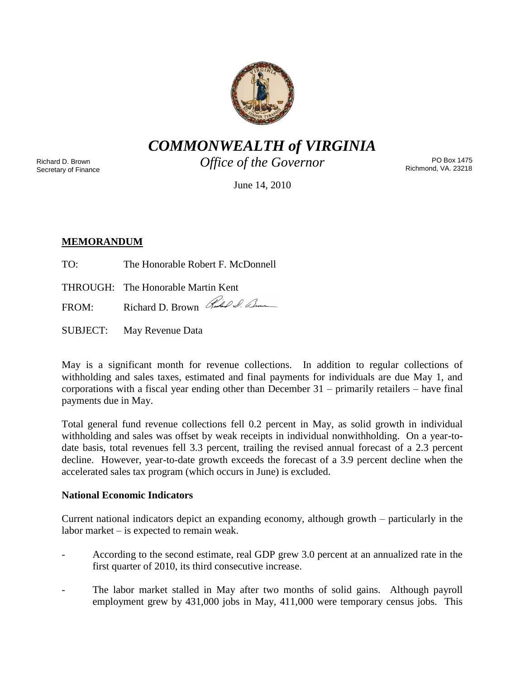

*COMMONWEALTH of VIRGINIA*

Richard D. Brown Secretary of Finance *Office of the Governor*

PO Box 1475 Richmond, VA. 23218

June 14, 2010

# **MEMORANDUM**

- TO: The Honorable Robert F. McDonnell
- THROUGH: The Honorable Martin Kent

FROM: Richard D. Brown Red & Com

SUBJECT: May Revenue Data

May is a significant month for revenue collections. In addition to regular collections of withholding and sales taxes, estimated and final payments for individuals are due May 1, and corporations with a fiscal year ending other than December 31 – primarily retailers – have final payments due in May.

Total general fund revenue collections fell 0.2 percent in May, as solid growth in individual withholding and sales was offset by weak receipts in individual nonwithholding. On a year-todate basis, total revenues fell 3.3 percent, trailing the revised annual forecast of a 2.3 percent decline. However, year-to-date growth exceeds the forecast of a 3.9 percent decline when the accelerated sales tax program (which occurs in June) is excluded.

## **National Economic Indicators**

Current national indicators depict an expanding economy, although growth – particularly in the labor market – is expected to remain weak.

- According to the second estimate, real GDP grew 3.0 percent at an annualized rate in the first quarter of 2010, its third consecutive increase.
- The labor market stalled in May after two months of solid gains. Although payroll employment grew by 431,000 jobs in May, 411,000 were temporary census jobs. This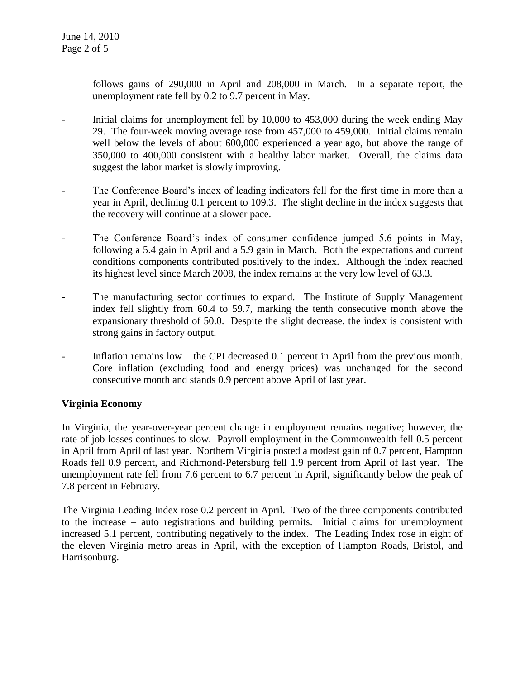follows gains of 290,000 in April and 208,000 in March. In a separate report, the unemployment rate fell by 0.2 to 9.7 percent in May.

- Initial claims for unemployment fell by 10,000 to 453,000 during the week ending May 29. The four-week moving average rose from 457,000 to 459,000. Initial claims remain well below the levels of about 600,000 experienced a year ago, but above the range of 350,000 to 400,000 consistent with a healthy labor market. Overall, the claims data suggest the labor market is slowly improving.
- The Conference Board's index of leading indicators fell for the first time in more than a year in April, declining 0.1 percent to 109.3. The slight decline in the index suggests that the recovery will continue at a slower pace.
- The Conference Board's index of consumer confidence jumped 5.6 points in May, following a 5.4 gain in April and a 5.9 gain in March. Both the expectations and current conditions components contributed positively to the index. Although the index reached its highest level since March 2008, the index remains at the very low level of 63.3.
- The manufacturing sector continues to expand. The Institute of Supply Management index fell slightly from 60.4 to 59.7, marking the tenth consecutive month above the expansionary threshold of 50.0. Despite the slight decrease, the index is consistent with strong gains in factory output.
- Inflation remains low the CPI decreased 0.1 percent in April from the previous month. Core inflation (excluding food and energy prices) was unchanged for the second consecutive month and stands 0.9 percent above April of last year.

## **Virginia Economy**

In Virginia, the year-over-year percent change in employment remains negative; however, the rate of job losses continues to slow. Payroll employment in the Commonwealth fell 0.5 percent in April from April of last year. Northern Virginia posted a modest gain of 0.7 percent, Hampton Roads fell 0.9 percent, and Richmond-Petersburg fell 1.9 percent from April of last year. The unemployment rate fell from 7.6 percent to 6.7 percent in April, significantly below the peak of 7.8 percent in February.

The Virginia Leading Index rose 0.2 percent in April. Two of the three components contributed to the increase – auto registrations and building permits. Initial claims for unemployment increased 5.1 percent, contributing negatively to the index. The Leading Index rose in eight of the eleven Virginia metro areas in April, with the exception of Hampton Roads, Bristol, and Harrisonburg.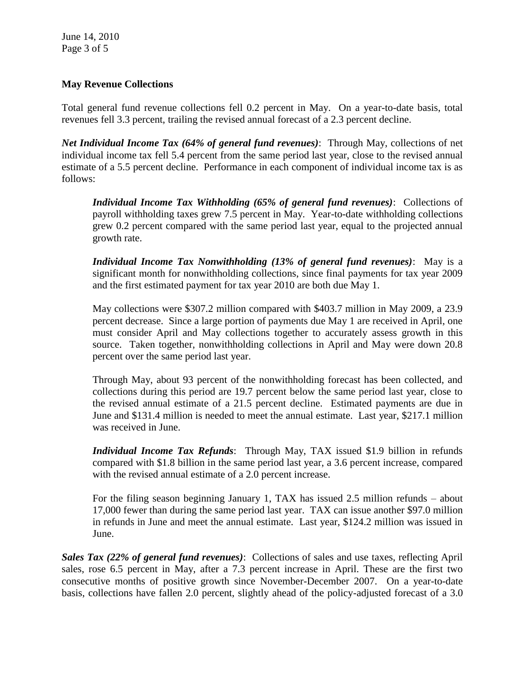June 14, 2010 Page 3 of 5

### **May Revenue Collections**

Total general fund revenue collections fell 0.2 percent in May. On a year-to-date basis, total revenues fell 3.3 percent, trailing the revised annual forecast of a 2.3 percent decline.

*Net Individual Income Tax (64% of general fund revenues)*: Through May, collections of net individual income tax fell 5.4 percent from the same period last year, close to the revised annual estimate of a 5.5 percent decline. Performance in each component of individual income tax is as follows:

*Individual Income Tax Withholding (65% of general fund revenues)*: Collections of payroll withholding taxes grew 7.5 percent in May. Year-to-date withholding collections grew 0.2 percent compared with the same period last year, equal to the projected annual growth rate.

*Individual Income Tax Nonwithholding (13% of general fund revenues)*: May is a significant month for nonwithholding collections, since final payments for tax year 2009 and the first estimated payment for tax year 2010 are both due May 1.

May collections were \$307.2 million compared with \$403.7 million in May 2009, a 23.9 percent decrease. Since a large portion of payments due May 1 are received in April, one must consider April and May collections together to accurately assess growth in this source. Taken together, nonwithholding collections in April and May were down 20.8 percent over the same period last year.

Through May, about 93 percent of the nonwithholding forecast has been collected, and collections during this period are 19.7 percent below the same period last year, close to the revised annual estimate of a 21.5 percent decline. Estimated payments are due in June and \$131.4 million is needed to meet the annual estimate. Last year, \$217.1 million was received in June.

*Individual Income Tax Refunds*: Through May, TAX issued \$1.9 billion in refunds compared with \$1.8 billion in the same period last year, a 3.6 percent increase, compared with the revised annual estimate of a 2.0 percent increase.

For the filing season beginning January 1, TAX has issued 2.5 million refunds – about 17,000 fewer than during the same period last year. TAX can issue another \$97.0 million in refunds in June and meet the annual estimate. Last year, \$124.2 million was issued in June.

*Sales Tax (22% of general fund revenues)*: Collections of sales and use taxes, reflecting April sales, rose 6.5 percent in May, after a 7.3 percent increase in April. These are the first two consecutive months of positive growth since November-December 2007. On a year-to-date basis, collections have fallen 2.0 percent, slightly ahead of the policy-adjusted forecast of a 3.0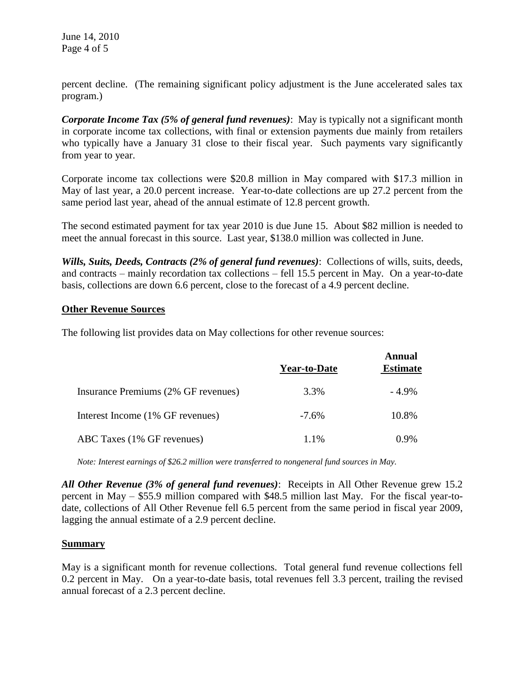June 14, 2010 Page 4 of 5

percent decline. (The remaining significant policy adjustment is the June accelerated sales tax program.)

*Corporate Income Tax (5% of general fund revenues)*: May is typically not a significant month in corporate income tax collections, with final or extension payments due mainly from retailers who typically have a January 31 close to their fiscal year. Such payments vary significantly from year to year.

Corporate income tax collections were \$20.8 million in May compared with \$17.3 million in May of last year, a 20.0 percent increase. Year-to-date collections are up 27.2 percent from the same period last year, ahead of the annual estimate of 12.8 percent growth.

The second estimated payment for tax year 2010 is due June 15. About \$82 million is needed to meet the annual forecast in this source. Last year, \$138.0 million was collected in June.

*Wills, Suits, Deeds, Contracts (2% of general fund revenues)*: Collections of wills, suits, deeds, and contracts – mainly recordation tax collections – fell 15.5 percent in May. On a year-to-date basis, collections are down 6.6 percent, close to the forecast of a 4.9 percent decline.

#### **Other Revenue Sources**

The following list provides data on May collections for other revenue sources:

|                                     | <b>Year-to-Date</b> | <b>Annual</b><br><b>Estimate</b> |
|-------------------------------------|---------------------|----------------------------------|
| Insurance Premiums (2% GF revenues) | 3.3%                | $-4.9\%$                         |
| Interest Income (1% GF revenues)    | $-7.6\%$            | 10.8%                            |
| ABC Taxes (1% GF revenues)          | 1.1%                | $0.9\%$                          |

*Note: Interest earnings of \$26.2 million were transferred to nongeneral fund sources in May.*

*All Other Revenue (3% of general fund revenues)*: Receipts in All Other Revenue grew 15.2 percent in May – \$55.9 million compared with \$48.5 million last May. For the fiscal year-todate, collections of All Other Revenue fell 6.5 percent from the same period in fiscal year 2009, lagging the annual estimate of a 2.9 percent decline.

#### **Summary**

May is a significant month for revenue collections. Total general fund revenue collections fell 0.2 percent in May. On a year-to-date basis, total revenues fell 3.3 percent, trailing the revised annual forecast of a 2.3 percent decline.